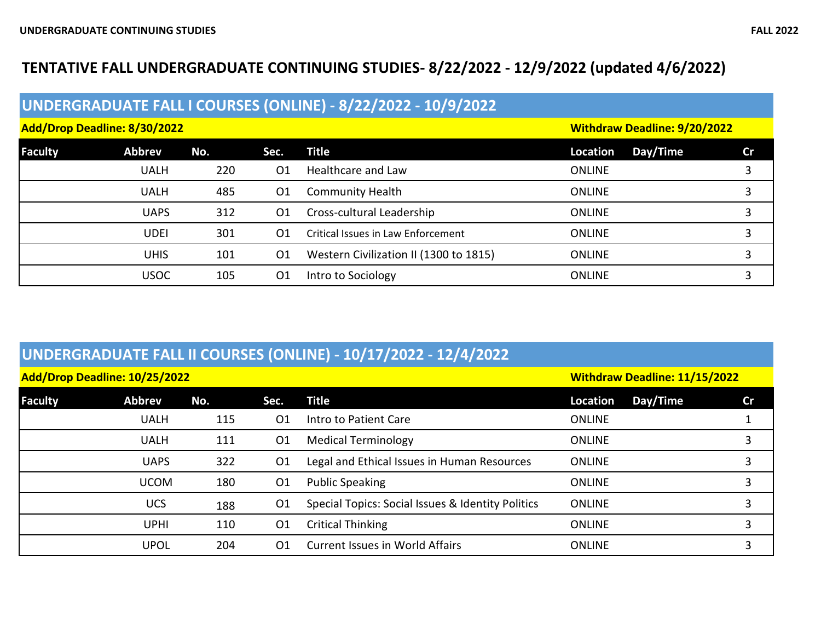## **TENTATIVE FALL UNDERGRADUATE CONTINUING STUDIES- 8/22/2022 - 12/9/2022 (updated 4/6/2022)**

| UNDERGRADUATE FALL I COURSES (ONLINE) - 8/22/2022 - 10/9/2022 |               |     |      |                                           |                                     |    |  |  |
|---------------------------------------------------------------|---------------|-----|------|-------------------------------------------|-------------------------------------|----|--|--|
| Add/Drop Deadline: 8/30/2022                                  |               |     |      |                                           | <b>Withdraw Deadline: 9/20/2022</b> |    |  |  |
| Faculty                                                       | <b>Abbrev</b> | No. | Sec. | <b>Title</b>                              | Day/Time<br>Location                | Cr |  |  |
|                                                               | <b>UALH</b>   | 220 | O1   | <b>Healthcare and Law</b>                 | <b>ONLINE</b>                       |    |  |  |
|                                                               | <b>UALH</b>   | 485 | 01   | <b>Community Health</b>                   | <b>ONLINE</b>                       |    |  |  |
|                                                               | <b>UAPS</b>   | 312 | 01   | Cross-cultural Leadership                 | <b>ONLINE</b>                       |    |  |  |
|                                                               | <b>UDEI</b>   | 301 | 01   | <b>Critical Issues in Law Enforcement</b> | <b>ONLINE</b>                       |    |  |  |
|                                                               | <b>UHIS</b>   | 101 | O1   | Western Civilization II (1300 to 1815)    | <b>ONLINE</b>                       | 3  |  |  |
|                                                               | <b>USOC</b>   | 105 | O1   | Intro to Sociology                        | <b>ONLINE</b>                       | 3  |  |  |

| UNDERGRADUATE FALL II COURSES (ONLINE) - 10/17/2022 - 12/4/2022 |               |     |                |                                                   |                                      |           |  |
|-----------------------------------------------------------------|---------------|-----|----------------|---------------------------------------------------|--------------------------------------|-----------|--|
| Add/Drop Deadline: 10/25/2022                                   |               |     |                |                                                   | <b>Withdraw Deadline: 11/15/2022</b> |           |  |
| <b>Faculty</b>                                                  | <b>Abbrev</b> | No. | Sec.           | <b>Title</b>                                      | Day/Time<br><b>Location</b>          | <b>Cr</b> |  |
|                                                                 | <b>UALH</b>   | 115 | 01             | Intro to Patient Care                             | <b>ONLINE</b>                        |           |  |
|                                                                 | <b>UALH</b>   | 111 | 01             | <b>Medical Terminology</b>                        | <b>ONLINE</b>                        | 3         |  |
|                                                                 | <b>UAPS</b>   | 322 | O <sub>1</sub> | Legal and Ethical Issues in Human Resources       | <b>ONLINE</b>                        | 3         |  |
|                                                                 | <b>UCOM</b>   | 180 | 01             | <b>Public Speaking</b>                            | <b>ONLINE</b>                        | 3         |  |
|                                                                 | <b>UCS</b>    | 188 | O <sub>1</sub> | Special Topics: Social Issues & Identity Politics | <b>ONLINE</b>                        | 3         |  |
|                                                                 | <b>UPHI</b>   | 110 | 01             | <b>Critical Thinking</b>                          | <b>ONLINE</b>                        | 3         |  |
|                                                                 | <b>UPOL</b>   | 204 | 01             | <b>Current Issues in World Affairs</b>            | <b>ONLINE</b>                        | 3         |  |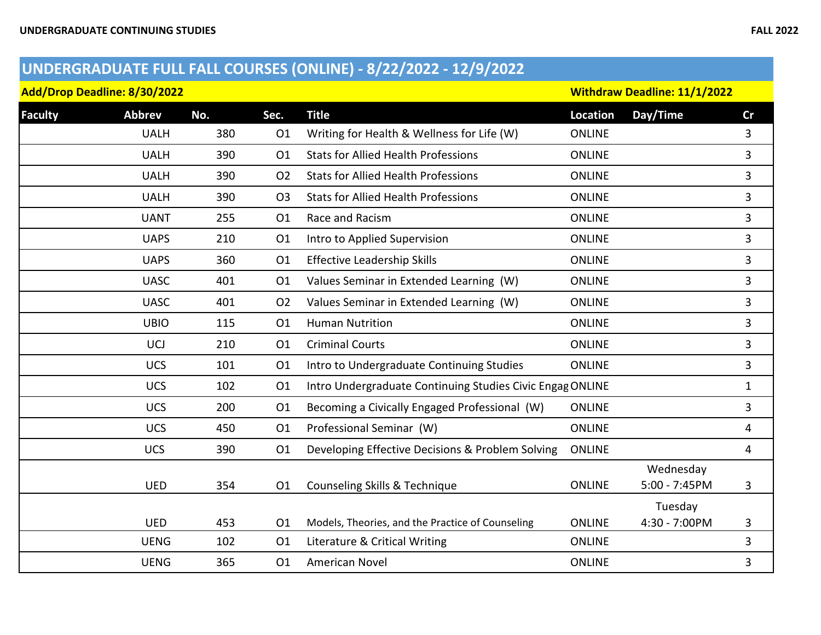## **UNDERGRADUATE FULL FALL COURSES (ONLINE) - 8/22/2022 - 12/9/2022**

|  | Add/Drop Deadline: 8/30/2022 |  |
|--|------------------------------|--|
|--|------------------------------|--|

**Add/Drop Deadline: 8/30/2022 Withdraw Deadline: 11/1/2022**

| <b>Faculty</b> | <b>Abbrev</b> | No. | Sec.           | <b>Title</b>                                              | <b>Location</b> | Day/Time      | cr           |
|----------------|---------------|-----|----------------|-----------------------------------------------------------|-----------------|---------------|--------------|
|                | <b>UALH</b>   | 380 | O <sub>1</sub> | Writing for Health & Wellness for Life (W)                | <b>ONLINE</b>   |               | 3            |
|                | <b>UALH</b>   | 390 | 01             | <b>Stats for Allied Health Professions</b>                | <b>ONLINE</b>   |               | 3            |
|                | <b>UALH</b>   | 390 | O <sub>2</sub> | <b>Stats for Allied Health Professions</b>                | <b>ONLINE</b>   |               | 3            |
|                | <b>UALH</b>   | 390 | O <sub>3</sub> | <b>Stats for Allied Health Professions</b>                | <b>ONLINE</b>   |               | 3            |
|                | <b>UANT</b>   | 255 | 01             | Race and Racism                                           | <b>ONLINE</b>   |               | 3            |
|                | <b>UAPS</b>   | 210 | 01             | Intro to Applied Supervision                              | <b>ONLINE</b>   |               | 3            |
|                | <b>UAPS</b>   | 360 | 01             | <b>Effective Leadership Skills</b>                        | <b>ONLINE</b>   |               | 3            |
|                | <b>UASC</b>   | 401 | 01             | Values Seminar in Extended Learning (W)                   | <b>ONLINE</b>   |               | 3            |
|                | <b>UASC</b>   | 401 | 02             | Values Seminar in Extended Learning (W)                   | <b>ONLINE</b>   |               | 3            |
|                | <b>UBIO</b>   | 115 | O1             | <b>Human Nutrition</b>                                    | <b>ONLINE</b>   |               | 3            |
|                | <b>UCJ</b>    | 210 | 01             | <b>Criminal Courts</b>                                    | <b>ONLINE</b>   |               | 3            |
|                | <b>UCS</b>    | 101 | 01             | Intro to Undergraduate Continuing Studies                 | <b>ONLINE</b>   |               | 3            |
|                | <b>UCS</b>    | 102 | 01             | Intro Undergraduate Continuing Studies Civic Engag ONLINE |                 |               | $\mathbf{1}$ |
|                | <b>UCS</b>    | 200 | 01             | Becoming a Civically Engaged Professional (W)             | <b>ONLINE</b>   |               | 3            |
|                | <b>UCS</b>    | 450 | 01             | Professional Seminar (W)                                  | <b>ONLINE</b>   |               | 4            |
|                | <b>UCS</b>    | 390 | 01             | Developing Effective Decisions & Problem Solving          | <b>ONLINE</b>   |               | 4            |
|                |               |     |                |                                                           |                 | Wednesday     |              |
|                | <b>UED</b>    | 354 | 01             | Counseling Skills & Technique                             | <b>ONLINE</b>   | 5:00 - 7:45PM | 3            |
|                |               |     |                |                                                           |                 | Tuesday       |              |
|                | <b>UED</b>    | 453 | 01             | Models, Theories, and the Practice of Counseling          | <b>ONLINE</b>   | 4:30 - 7:00PM | 3            |
|                | <b>UENG</b>   | 102 | 01             | Literature & Critical Writing                             | <b>ONLINE</b>   |               | 3            |
|                | <b>UENG</b>   | 365 | 01             | <b>American Novel</b>                                     | <b>ONLINE</b>   |               | 3            |